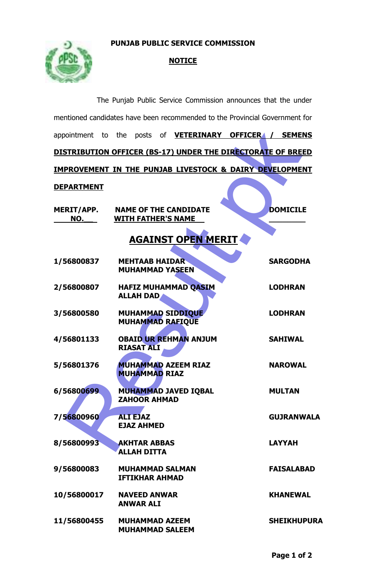## **PUNJAB PUBLIC SERVICE COMMISSION**



## **NOTICE**

|                                                                             |                                                     | The Punjab Public Service Commission announces that the under |  |                    |  |
|-----------------------------------------------------------------------------|-----------------------------------------------------|---------------------------------------------------------------|--|--------------------|--|
| mentioned candidates have been recommended to the Provincial Government for |                                                     |                                                               |  |                    |  |
| appointment to the posts of <b>VETERINARY OFFICER4 / SEMENS</b>             |                                                     |                                                               |  |                    |  |
| DISTRIBUTION OFFICER (BS-17) UNDER THE DIRECTORATE OF BREED                 |                                                     |                                                               |  |                    |  |
| <b>IMPROVEMENT IN THE PUNJAB LIVESTOCK &amp; DAIRY DEVELOPMENT</b>          |                                                     |                                                               |  |                    |  |
| <u>DEPARTMENT</u>                                                           |                                                     |                                                               |  |                    |  |
| MERIT/APP. NAME OF THE CANDIDATE<br>NO.                                     | <b>WITH FATHER'S NAME</b>                           |                                                               |  | <b>DOMICILE</b>    |  |
| <b>AGAINST OPEN MERIT</b>                                                   |                                                     |                                                               |  |                    |  |
| 1/56800837                                                                  | <b>MEHTAAB HAIDAR</b><br><b>MUHAMMAD YASEEN</b>     |                                                               |  | <b>SARGODHA</b>    |  |
| 2/56800807                                                                  | <b>HAFIZ MUHAMMAD QASIM</b><br><b>ALLAH DAD</b>     |                                                               |  | <b>LODHRAN</b>     |  |
| 3/56800580                                                                  | <b>MUHAMMAD SIDDIQUE</b><br><b>MUHAMMAD RAFIQUE</b> |                                                               |  | <b>LODHRAN</b>     |  |
| 4/56801133                                                                  | <b>RIASAT ALI</b>                                   | <b>OBAID UR REHMAN ANJUM</b>                                  |  | <b>SAHIWAL</b>     |  |
| 5/56801376                                                                  | <b>MUHAMMAD AZEEM RIAZ</b><br><b>MUHAMMAD RIAZ</b>  |                                                               |  | <b>NAROWAL</b>     |  |
| 6/56800699                                                                  | <b>MUHAMMAD JAVED IQBAL</b><br><b>ZAHOOR AHMAD</b>  |                                                               |  | <b>MULTAN</b>      |  |
| 7/56800960                                                                  | <b>ALI EJAZ</b><br><b>EJAZ AHMED</b>                |                                                               |  | <b>GUJRANWALA</b>  |  |
| 8/56800993                                                                  | <b>AKHTAR ABBAS</b><br><b>ALLAH DITTA</b>           |                                                               |  | <b>LAYYAH</b>      |  |
| 9/56800083                                                                  | <b>MUHAMMAD SALMAN</b><br><b>IFTIKHAR AHMAD</b>     |                                                               |  | <b>FAISALABAD</b>  |  |
| 10/56800017                                                                 | <b>NAVEED ANWAR</b><br><b>ANWAR ALI</b>             |                                                               |  | <b>KHANEWAL</b>    |  |
| 11/56800455                                                                 | <b>MUHAMMAD AZEEM</b><br><b>MUHAMMAD SALEEM</b>     |                                                               |  | <b>SHEIKHUPURA</b> |  |